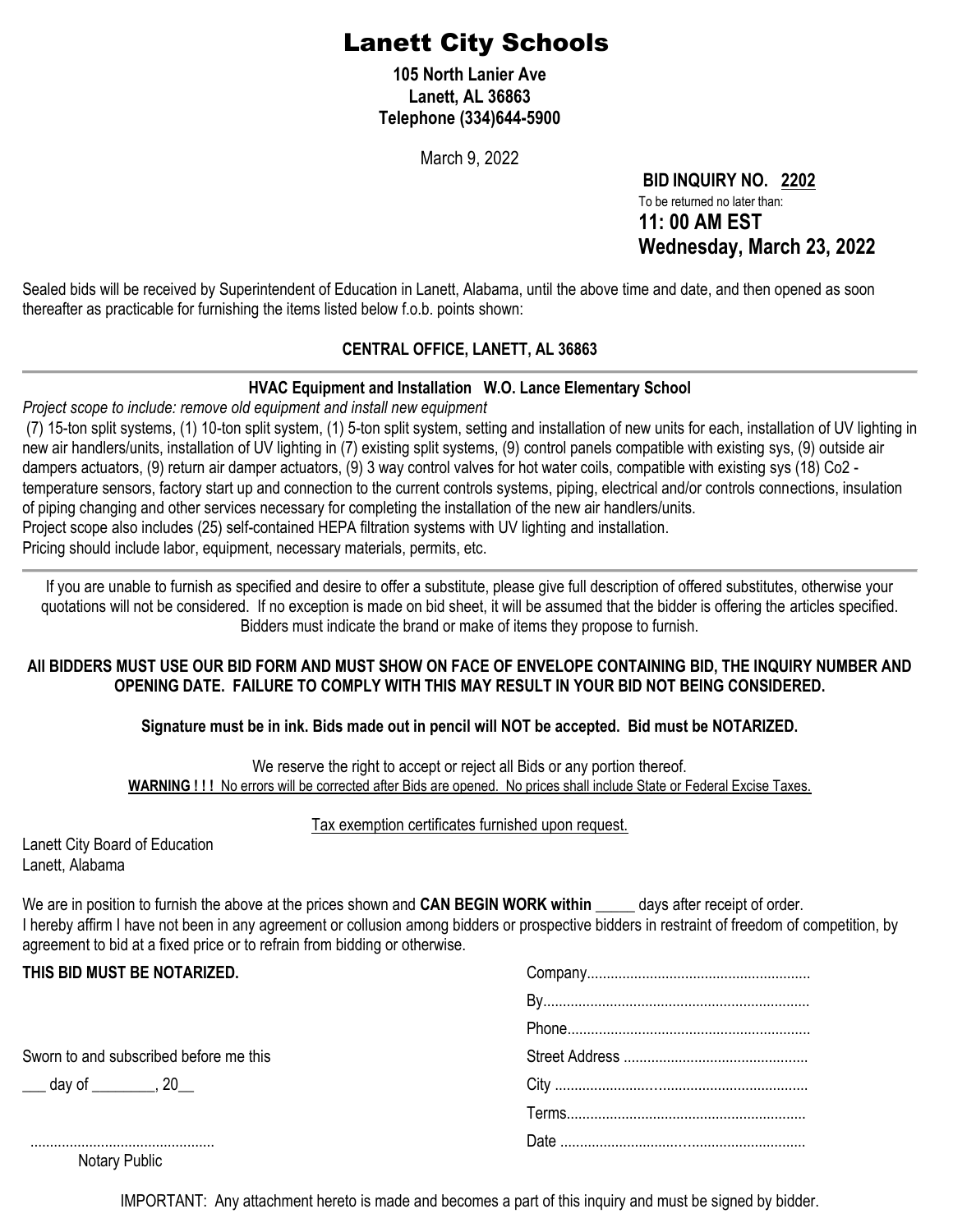# Lanett City Schools

**105 North Lanier Ave Lanett, AL 36863 Telephone (334)644-5900**

March 9, 2022

**BID INQUIRY NO. 2202** To be returned no later than: **11: 00 AM EST Wednesday, March 23, 2022**

Sealed bids will be received by Superintendent of Education in Lanett, Alabama, until the above time and date, and then opened as soon thereafter as practicable for furnishing the items listed below f.o.b. points shown:

### **CENTRAL OFFICE, LANETT, AL 36863**

### **HVAC Equipment and Installation W.O. Lance Elementary School**

*Project scope to include: remove old equipment and install new equipment*

(7) 15-ton split systems, (1) 10-ton split system, (1) 5-ton split system, setting and installation of new units for each, installation of UV lighting in new air handlers/units, installation of UV lighting in (7) existing split systems, (9) control panels compatible with existing sys, (9) outside air dampers actuators, (9) return air damper actuators, (9) 3 way control valves for hot water coils, compatible with existing sys (18) Co2 temperature sensors, factory start up and connection to the current controls systems, piping, electrical and/or controls connections, insulation of piping changing and other services necessary for completing the installation of the new air handlers/units. Project scope also includes (25) self-contained HEPA filtration systems with UV lighting and installation.

Pricing should include labor, equipment, necessary materials, permits, etc.

If you are unable to furnish as specified and desire to offer a substitute, please give full description of offered substitutes, otherwise your quotations will not be considered. If no exception is made on bid sheet, it will be assumed that the bidder is offering the articles specified. Bidders must indicate the brand or make of items they propose to furnish.

### **All BIDDERS MUST USE OUR BID FORM AND MUST SHOW ON FACE OF ENVELOPE CONTAINING BID, THE INQUIRY NUMBER AND OPENING DATE. FAILURE TO COMPLY WITH THIS MAY RESULT IN YOUR BID NOT BEING CONSIDERED.**

### **Signature must be in ink. Bids made out in pencil will NOT be accepted. Bid must be NOTARIZED.**

We reserve the right to accept or reject all Bids or any portion thereof. **WARNING ! ! !** No errors will be corrected after Bids are opened. No prices shall include State or Federal Excise Taxes.

#### Tax exemption certificates furnished upon request.

| Lanett City Board of Education |
|--------------------------------|
| Lanett, Alabama                |

We are in position to furnish the above at the prices shown and **CAN BEGIN WORK within** \_\_\_\_\_ days after receipt of order. I hereby affirm I have not been in any agreement or collusion among bidders or prospective bidders in restraint of freedom of competition, by agreement to bid at a fixed price or to refrain from bidding or otherwise.

| Sworn to and subscribed before me this<br>___ day of ________, 20__ | THIS BID MUST BE NOTARIZED. |  |  |  |
|---------------------------------------------------------------------|-----------------------------|--|--|--|
|                                                                     |                             |  |  |  |
|                                                                     |                             |  |  |  |
|                                                                     |                             |  |  |  |
|                                                                     |                             |  |  |  |
|                                                                     |                             |  |  |  |
|                                                                     |                             |  |  |  |

Notary Public

IMPORTANT: Any attachment hereto is made and becomes a part of this inquiry and must be signed by bidder.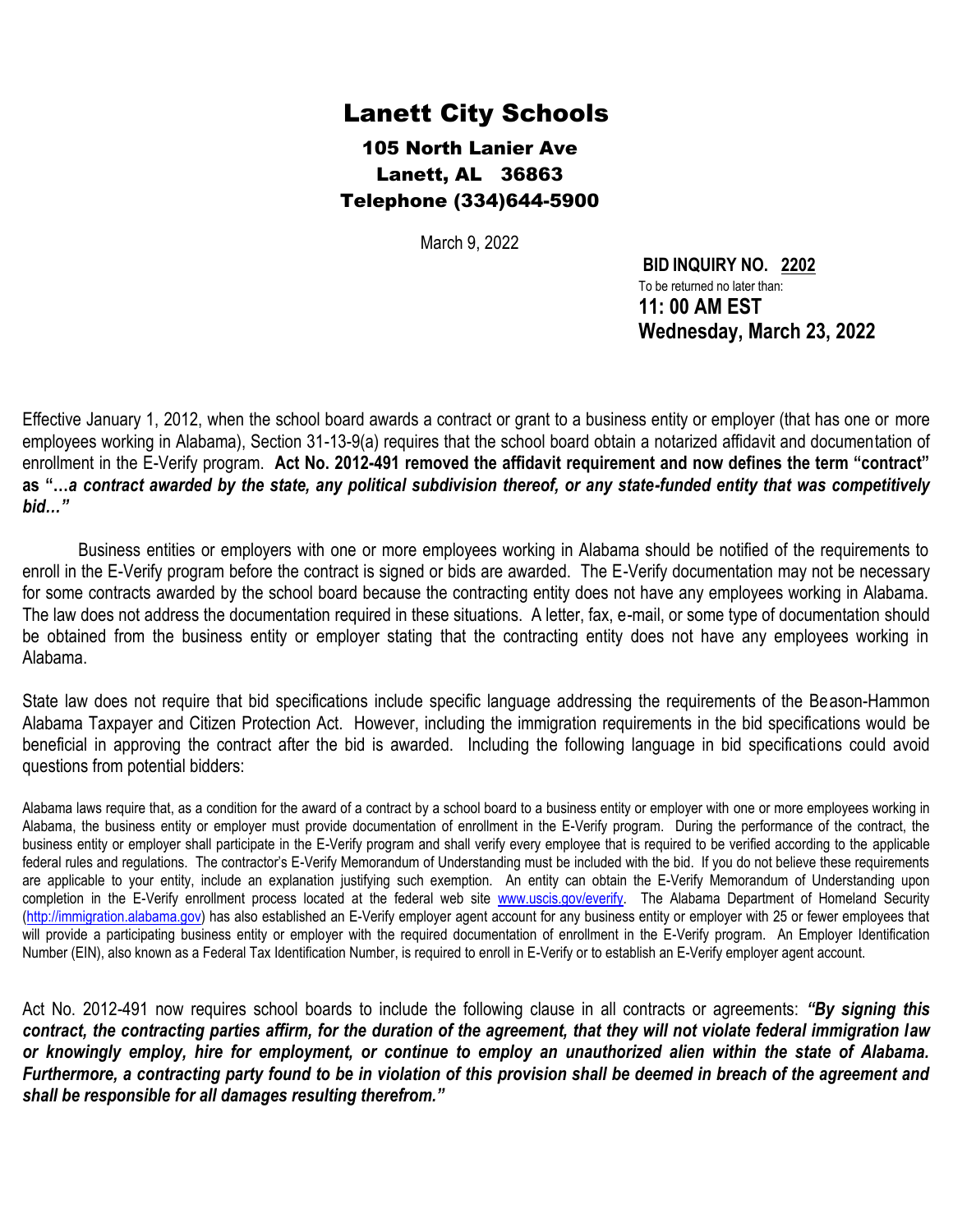## Lanett City Schools

105 North Lanier Ave Lanett, AL 36863 Telephone (334)644-5900

March 9, 2022

**BID INQUIRY NO. 2202** To be returned no later than: **11: 00 AM EST Wednesday, March 23, 2022**

Effective January 1, 2012, when the school board awards a contract or grant to a business entity or employer (that has one or more employees working in Alabama), Section 31-13-9(a) requires that the school board obtain a notarized affidavit and documentation of enrollment in the E-Verify program. **Act No. 2012-491 removed the affidavit requirement and now defines the term "contract" as "…***a contract awarded by the state, any political subdivision thereof, or any state-funded entity that was competitively bid…"*

Business entities or employers with one or more employees working in Alabama should be notified of the requirements to enroll in the E-Verify program before the contract is signed or bids are awarded. The E-Verify documentation may not be necessary for some contracts awarded by the school board because the contracting entity does not have any employees working in Alabama. The law does not address the documentation required in these situations. A letter, fax, e-mail, or some type of documentation should be obtained from the business entity or employer stating that the contracting entity does not have any employees working in Alabama.

State law does not require that bid specifications include specific language addressing the requirements of the Beason-Hammon Alabama Taxpayer and Citizen Protection Act. However, including the immigration requirements in the bid specifications would be beneficial in approving the contract after the bid is awarded. Including the following language in bid specifications could avoid questions from potential bidders:

Alabama laws require that, as a condition for the award of a contract by a school board to a business entity or employer with one or more employees working in Alabama, the business entity or employer must provide documentation of enrollment in the E-Verify program. During the performance of the contract, the business entity or employer shall participate in the E-Verify program and shall verify every employee that is required to be verified according to the applicable federal rules and regulations. The contractor's E-Verify Memorandum of Understanding must be included with the bid. If you do not believe these requirements are applicable to your entity, include an explanation justifying such exemption. An entity can obtain the E-Verify Memorandum of Understanding upon completion in the E-Verify enrollment process located at the federal web site [www.uscis.gov/everify.](http://www.uscis.gov/everify) The Alabama Department of Homeland Security [\(http://immigration.alabama.gov\)](http://immigration.alabama.gov/) has also established an E-Verify employer agent account for any business entity or employer with 25 or fewer employees that will provide a participating business entity or employer with the required documentation of enrollment in the E-Verify program. An Employer Identification Number (EIN), also known as a Federal Tax Identification Number, is required to enroll in E-Verify or to establish an E-Verify employer agent account.

Act No. 2012-491 now requires school boards to include the following clause in all contracts or agreements: *"By signing this contract, the contracting parties affirm, for the duration of the agreement, that they will not violate federal immigration law or knowingly employ, hire for employment, or continue to employ an unauthorized alien within the state of Alabama. Furthermore, a contracting party found to be in violation of this provision shall be deemed in breach of the agreement and shall be responsible for all damages resulting therefrom."*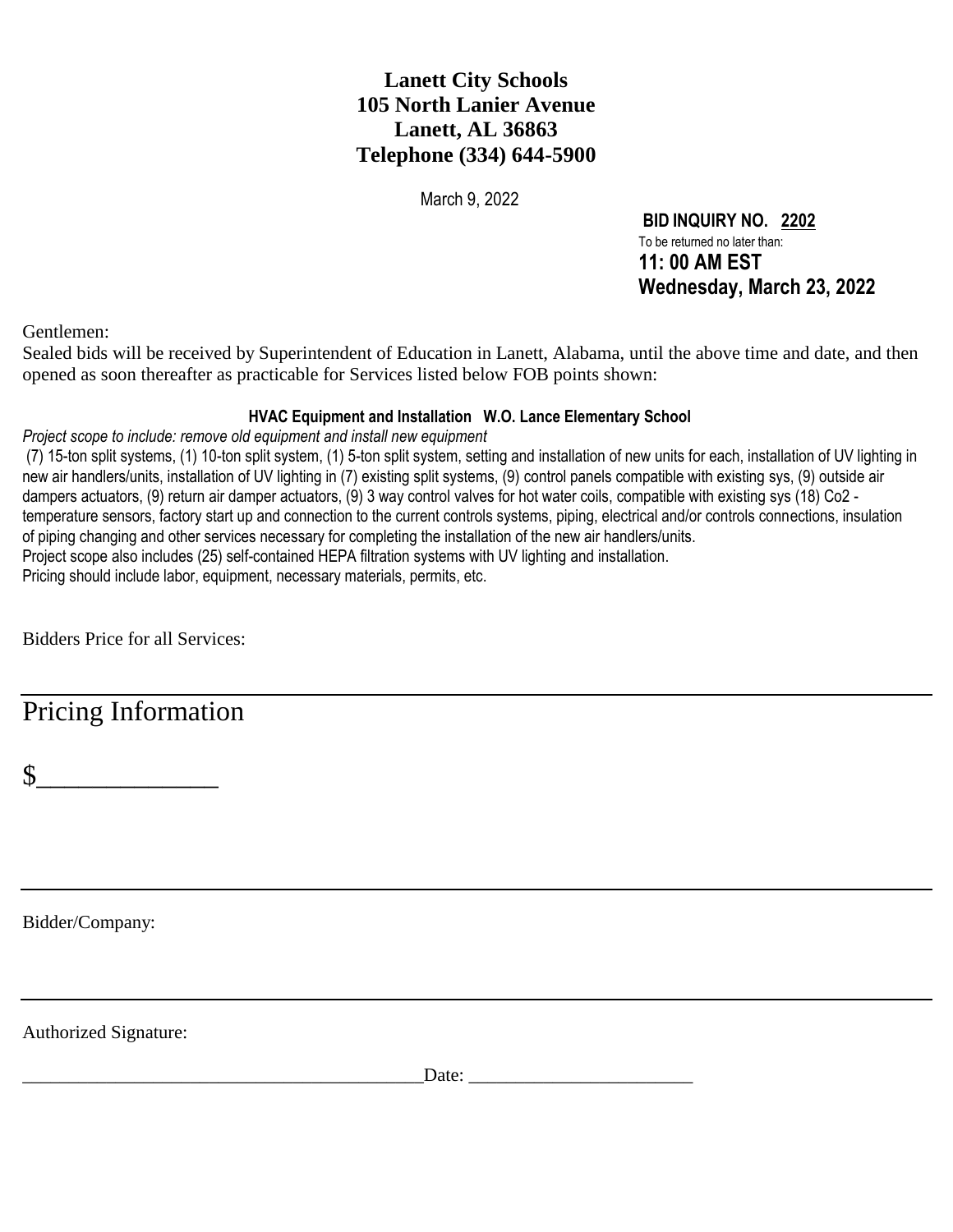### **Lanett City Schools 105 North Lanier Avenue Lanett, AL 36863 Telephone (334) 644-5900**

March 9, 2022

**BID INQUIRY NO. 2202** To be returned no later than: **11: 00 AM EST Wednesday, March 23, 2022**

Gentlemen:

Sealed bids will be received by Superintendent of Education in Lanett, Alabama, until the above time and date, and then opened as soon thereafter as practicable for Services listed below FOB points shown:

### **HVAC Equipment and Installation W.O. Lance Elementary School**

*Project scope to include: remove old equipment and install new equipment*

(7) 15-ton split systems, (1) 10-ton split system, (1) 5-ton split system, setting and installation of new units for each, installation of UV lighting in new air handlers/units, installation of UV lighting in (7) existing split systems, (9) control panels compatible with existing sys, (9) outside air dampers actuators, (9) return air damper actuators, (9) 3 way control valves for hot water coils, compatible with existing sys (18) Co2 temperature sensors, factory start up and connection to the current controls systems, piping, electrical and/or controls connections, insulation of piping changing and other services necessary for completing the installation of the new air handlers/units. Project scope also includes (25) self-contained HEPA filtration systems with UV lighting and installation. Pricing should include labor, equipment, necessary materials, permits, etc.

Bidders Price for all Services:

Pricing Information

 $\frac{1}{2}$ 

Bidder/Company:

Authorized Signature:

Date: